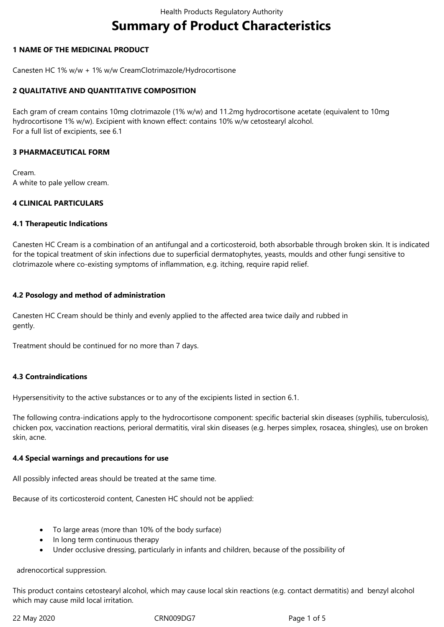# **Summary of Product Characteristics**

# **1 NAME OF THE MEDICINAL PRODUCT**

Canesten HC 1% w/w + 1% w/w CreamClotrimazole/Hydrocortisone

# **2 QUALITATIVE AND QUANTITATIVE COMPOSITION**

Each gram of cream contains 10mg clotrimazole (1% w/w) and 11.2mg hydrocortisone acetate (equivalent to 10mg hydrocortisone 1% w/w). Excipient with known effect: contains 10% w/w cetostearyl alcohol. For a full list of excipients, see 6.1

# **3 PHARMACEUTICAL FORM**

Cream. A white to pale yellow cream.

# **4 CLINICAL PARTICULARS**

# **4.1 Therapeutic Indications**

Canesten HC Cream is a combination of an antifungal and a corticosteroid, both absorbable through broken skin. It is indicated for the topical treatment of skin infections due to superficial dermatophytes, yeasts, moulds and other fungi sensitive to clotrimazole where co-existing symptoms of inflammation, e.g. itching, require rapid relief.

# **4.2 Posology and method of administration**

Canesten HC Cream should be thinly and evenly applied to the affected area twice daily and rubbed in gently.

Treatment should be continued for no more than 7 days.

# **4.3 Contraindications**

Hypersensitivity to the active substances or to any of the excipients listed in section 6.1.

The following contra-indications apply to the hydrocortisone component: specific bacterial skin diseases (syphilis, tuberculosis), chicken pox, vaccination reactions, perioral dermatitis, viral skin diseases (e.g. herpes simplex, rosacea, shingles), use on broken skin, acne.

# **4.4 Special warnings and precautions for use**

All possibly infected areas should be treated at the same time.

Because of its corticosteroid content, Canesten HC should not be applied:

- To large areas (more than 10% of the body surface)
- In long term continuous therapy
- Under occlusive dressing, particularly in infants and children, because of the possibility of

adrenocortical suppression.

This product contains cetostearyl alcohol, which may cause local skin reactions (e.g. contact dermatitis) and benzyl alcohol which may cause mild local irritation.

22 May 2020 CRN009DG7 Page 1 of 5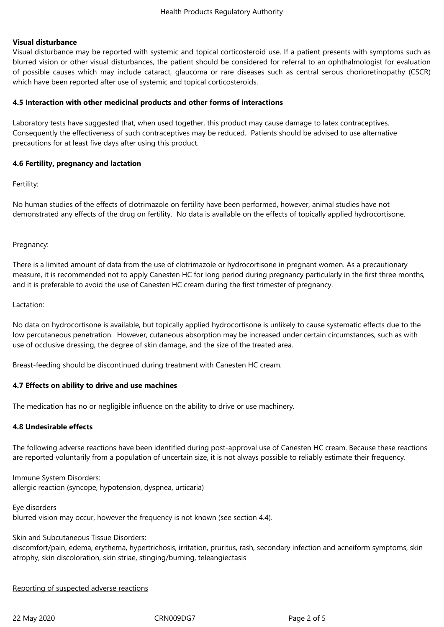#### **Visual disturbance**

Visual disturbance may be reported with systemic and topical corticosteroid use. If a patient presents with symptoms such as blurred vision or other visual disturbances, the patient should be considered for referral to an ophthalmologist for evaluation of possible causes which may include cataract, glaucoma or rare diseases such as central serous chorioretinopathy (CSCR) which have been reported after use of systemic and topical corticosteroids.

#### **4.5 Interaction with other medicinal products and other forms of interactions**

Laboratory tests have suggested that, when used together, this product may cause damage to latex contraceptives. Consequently the effectiveness of such contraceptives may be reduced. Patients should be advised to use alternative precautions for at least five days after using this product.

#### **4.6 Fertility, pregnancy and lactation**

Fertility:

No human studies of the effects of clotrimazole on fertility have been performed, however, animal studies have not demonstrated any effects of the drug on fertility. No data is available on the effects of topically applied hydrocortisone.

#### Pregnancy:

There is a limited amount of data from the use of clotrimazole or hydrocortisone in pregnant women. As a precautionary measure, it is recommended not to apply Canesten HC for long period during pregnancy particularly in the first three months, and it is preferable to avoid the use of Canesten HC cream during the first trimester of pregnancy.

#### Lactation:

No data on hydrocortisone is available, but topically applied hydrocortisone is unlikely to cause systematic effects due to the low percutaneous penetration. However, cutaneous absorption may be increased under certain circumstances, such as with use of occlusive dressing, the degree of skin damage, and the size of the treated area.

Breast-feeding should be discontinued during treatment with Canesten HC cream.

#### **4.7 Effects on ability to drive and use machines**

The medication has no or negligible influence on the ability to drive or use machinery.

# **4.8 Undesirable effects**

The following adverse reactions have been identified during post-approval use of Canesten HC cream. Because these reactions are reported voluntarily from a population of uncertain size, it is not always possible to reliably estimate their frequency.

Immune System Disorders: allergic reaction (syncope, hypotension, dyspnea, urticaria)

Eye disorders

blurred vision may occur, however the frequency is not known (see section 4.4).

Skin and Subcutaneous Tissue Disorders:

discomfort/pain, edema, erythema, hypertrichosis, irritation, pruritus, rash, secondary infection and acneiform symptoms, skin atrophy, skin discoloration, skin striae, stinging/burning, teleangiectasis

#### Reporting of suspected adverse reactions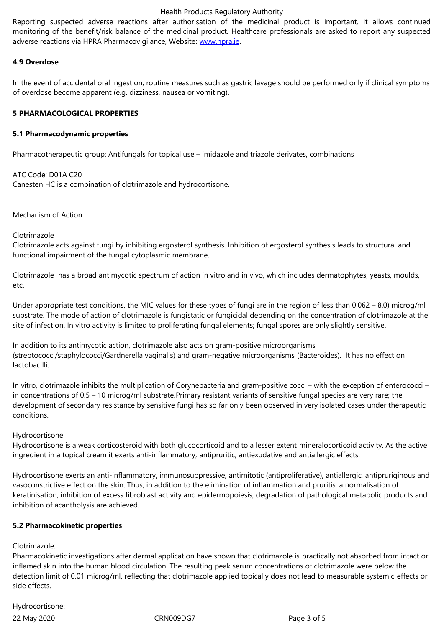adverse reactions via HPRA Pharmacovigilance, Website: www.hpra.ie.

# **4.9 Overdose**

In the event of accidental oral ingestion, routine measure[s such as gas](http://www.hpra.ie/)tric lavage should be performed only if clinical symptoms of overdose become apparent (e.g. dizziness, nausea or vomiting).

# **5 PHARMACOLOGICAL PROPERTIES**

# **5.1 Pharmacodynamic properties**

Pharmacotherapeutic group: Antifungals for topical use – imidazole and triazole derivates, combinations

ATC Code: D01A C20 Canesten HC is a combination of clotrimazole and hydrocortisone.

Mechanism of Action

# Clotrimazole

Clotrimazole acts against fungi by inhibiting ergosterol synthesis. Inhibition of ergosterol synthesis leads to structural and functional impairment of the fungal cytoplasmic membrane.

Clotrimazole has a broad antimycotic spectrum of action in vitro and in vivo, which includes dermatophytes, yeasts, moulds, etc.

Under appropriate test conditions, the MIC values for these types of fungi are in the region of less than 0.062 – 8.0) microg/ml substrate. The mode of action of clotrimazole is fungistatic or fungicidal depending on the concentration of clotrimazole at the site of infection. In vitro activity is limited to proliferating fungal elements; fungal spores are only slightly sensitive.

In addition to its antimycotic action, clotrimazole also acts on gram-positive microorganisms (streptococci/staphylococci/Gardnerella vaginalis) and gram-negative microorganisms (Bacteroides). It has no effect on lactobacilli.

In vitro, clotrimazole inhibits the multiplication of Corynebacteria and gram-positive cocci – with the exception of enterococci – in concentrations of 0.5 – 10 microg/ml substrate.Primary resistant variants of sensitive fungal species are very rare; the development of secondary resistance by sensitive fungi has so far only been observed in very isolated cases under therapeutic conditions.

# Hydrocortisone

Hydrocortisone is a weak corticosteroid with both glucocorticoid and to a lesser extent mineralocorticoid activity. As the active ingredient in a topical cream it exerts anti-inflammatory, antipruritic, antiexudative and antiallergic effects.

Hydrocortisone exerts an anti-inflammatory, immunosuppressive, antimitotic (antiproliferative), antiallergic, antipruriginous and vasoconstrictive effect on the skin. Thus, in addition to the elimination of inflammation and pruritis, a normalisation of keratinisation, inhibition of excess fibroblast activity and epidermopoiesis, degradation of pathological metabolic products and inhibition of acantholysis are achieved.

# **5.2 Pharmacokinetic properties**

# Clotrimazole:

Pharmacokinetic investigations after dermal application have shown that clotrimazole is practically not absorbed from intact or inflamed skin into the human blood circulation. The resulting peak serum concentrations of clotrimazole were below the detection limit of 0.01 microg/ml, reflecting that clotrimazole applied topically does not lead to measurable systemic effects or side effects.

Hydrocortisone: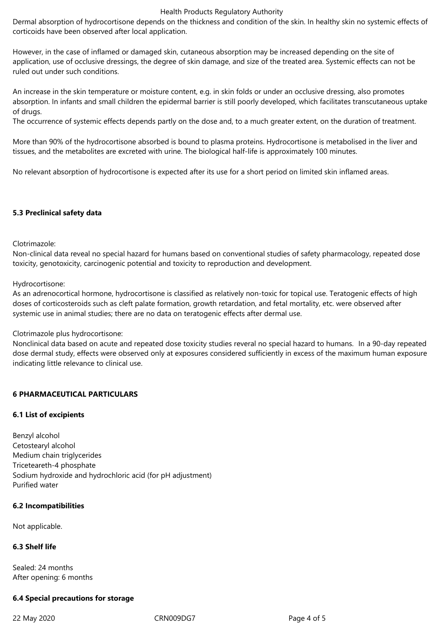#### Health Products Regulatory Authority

Dermal absorption of hydrocortisone depends on the thickness and condition of the skin. In healthy skin no systemic effects of corticoids have been observed after local application.

However, in the case of inflamed or damaged skin, cutaneous absorption may be increased depending on the site of application, use of occlusive dressings, the degree of skin damage, and size of the treated area. Systemic effects can not be ruled out under such conditions.

An increase in the skin temperature or moisture content, e.g. in skin folds or under an occlusive dressing, also promotes absorption. In infants and small children the epidermal barrier is still poorly developed, which facilitates transcutaneous uptake of drugs.

The occurrence of systemic effects depends partly on the dose and, to a much greater extent, on the duration of treatment.

More than 90% of the hydrocortisone absorbed is bound to plasma proteins. Hydrocortisone is metabolised in the liver and tissues, and the metabolites are excreted with urine. The biological half-life is approximately 100 minutes.

No relevant absorption of hydrocortisone is expected after its use for a short period on limited skin inflamed areas.

# **5.3 Preclinical safety data**

# Clotrimazole:

Non-clinical data reveal no special hazard for humans based on conventional studies of safety pharmacology, repeated dose toxicity, genotoxicity, carcinogenic potential and toxicity to reproduction and development.

# Hydrocortisone:

As an adrenocortical hormone, hydrocortisone is classified as relatively non-toxic for topical use. Teratogenic effects of high doses of corticosteroids such as cleft palate formation, growth retardation, and fetal mortality, etc. were observed after systemic use in animal studies; there are no data on teratogenic effects after dermal use.

# Clotrimazole plus hydrocortisone:

Nonclinical data based on acute and repeated dose toxicity studies reveral no special hazard to humans. In a 90-day repeated dose dermal study, effects were observed only at exposures considered sufficiently in excess of the maximum human exposure indicating little relevance to clinical use.

# **6 PHARMACEUTICAL PARTICULARS**

# **6.1 List of excipients**

Benzyl alcohol Cetostearyl alcohol Medium chain triglycerides Triceteareth-4 phosphate Sodium hydroxide and hydrochloric acid (for pH adjustment) Purified water

# **6.2 Incompatibilities**

Not applicable.

# **6.3 Shelf life**

Sealed: 24 months After opening: 6 months

# **6.4 Special precautions for storage**

22 May 2020 CRN009DG7 Page 4 of 5